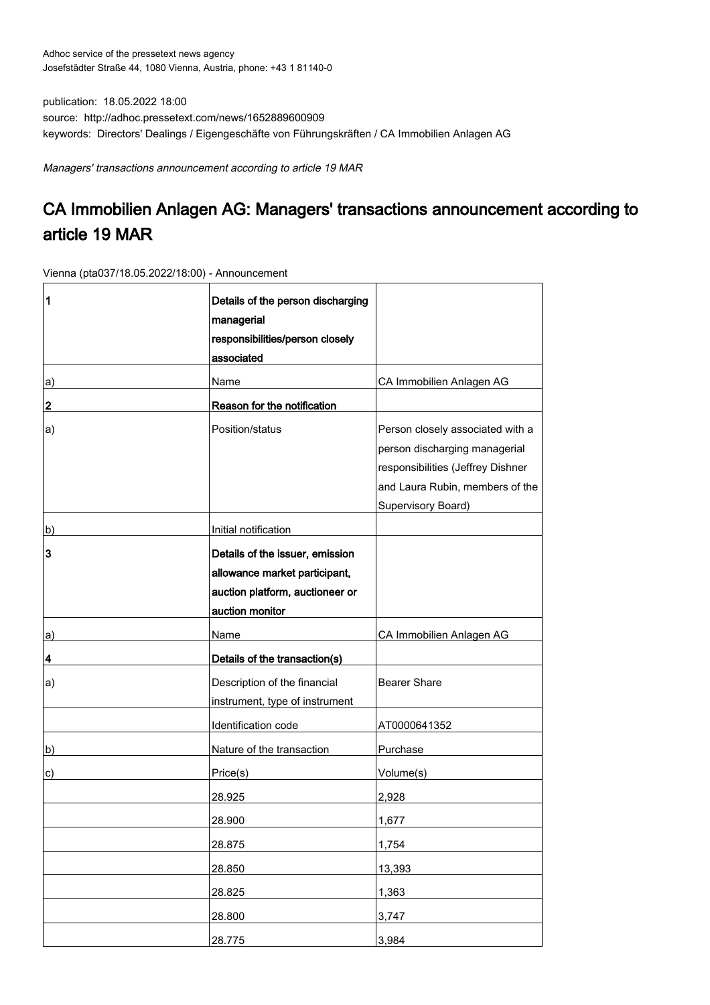publication: 18.05.2022 18:00 source: http://adhoc.pressetext.com/news/1652889600909 keywords: Directors' Dealings / Eigengeschäfte von Führungskräften / CA Immobilien Anlagen AG

Managers' transactions announcement according to article 19 MAR

## CA Immobilien Anlagen AG: Managers' transactions announcement according to article 19 MAR

Vienna (pta037/18.05.2022/18:00) - Announcement

| 1  | Details of the person discharging<br>managerial<br>responsibilities/person closely<br>associated                       |                                                                                                                                                                 |
|----|------------------------------------------------------------------------------------------------------------------------|-----------------------------------------------------------------------------------------------------------------------------------------------------------------|
| a) | Name                                                                                                                   | CA Immobilien Anlagen AG                                                                                                                                        |
| 2  | Reason for the notification                                                                                            |                                                                                                                                                                 |
| a) | Position/status                                                                                                        | Person closely associated with a<br>person discharging managerial<br>responsibilities (Jeffrey Dishner<br>and Laura Rubin, members of the<br>Supervisory Board) |
| b) | Initial notification                                                                                                   |                                                                                                                                                                 |
| 3  | Details of the issuer, emission<br>allowance market participant,<br>auction platform, auctioneer or<br>auction monitor |                                                                                                                                                                 |
| a) | Name                                                                                                                   | CA Immobilien Anlagen AG                                                                                                                                        |
| 4  | Details of the transaction(s)                                                                                          |                                                                                                                                                                 |
| a) | Description of the financial<br>instrument, type of instrument                                                         | <b>Bearer Share</b>                                                                                                                                             |
|    | Identification code                                                                                                    | AT0000641352                                                                                                                                                    |
| b) | Nature of the transaction                                                                                              | Purchase                                                                                                                                                        |
| c) | Price(s)                                                                                                               | Volume(s)                                                                                                                                                       |
|    | 28.925                                                                                                                 | 2,928                                                                                                                                                           |
|    | 28.900                                                                                                                 | 1,677                                                                                                                                                           |
|    | 28.875                                                                                                                 | 1,754                                                                                                                                                           |
|    | 28.850                                                                                                                 | 13,393                                                                                                                                                          |
|    | 28.825                                                                                                                 | 1,363                                                                                                                                                           |
|    | 28.800                                                                                                                 | 3,747                                                                                                                                                           |
|    | 28.775                                                                                                                 | 3,984                                                                                                                                                           |